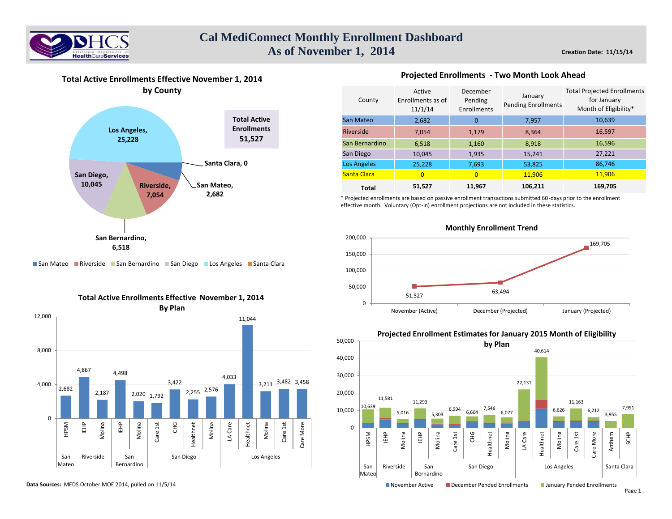

**Creation Date: 11/15/14**



### **Total Active Enrollments Effective November 1, 2014**



**Projected Enrollments - Two Month Look Ahead** 

\* Projected enrollments are based on passive enrollment transactions submitted 60-days prior to the enrollment effective month. Voluntary (Opt-in) enrollment projections are not included in these statistics.



## ■ San Mateo ■ Riverside ■ San Bernardino ■ San Diego ■ Los Angeles ■ Santa Clara



**Total Active Enrollments Effective November 1, 2014**

**Data Sources:** MEDS October MOE 2014, pulled on 11/5/14

# **Projected Enrollment Estimates for January 2015 Month of Eligibility**